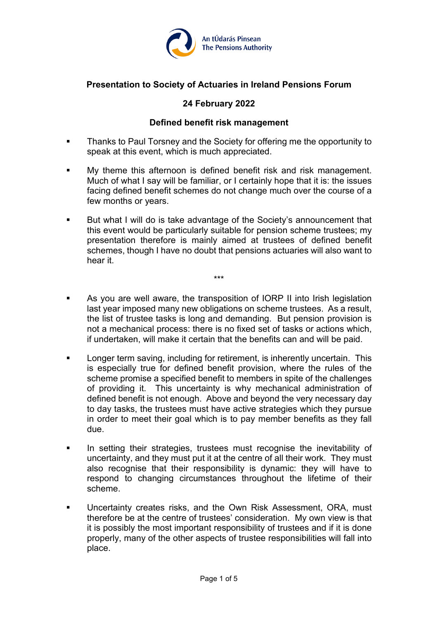

# **Presentation to Society of Actuaries in Ireland Pensions Forum**

# **24 February 2022**

## **Defined benefit risk management**

- Thanks to Paul Torsney and the Society for offering me the opportunity to speak at this event, which is much appreciated.
- My theme this afternoon is defined benefit risk and risk management. Much of what I say will be familiar, or I certainly hope that it is: the issues facing defined benefit schemes do not change much over the course of a few months or years.
- But what I will do is take advantage of the Society's announcement that this event would be particularly suitable for pension scheme trustees; my presentation therefore is mainly aimed at trustees of defined benefit schemes, though I have no doubt that pensions actuaries will also want to hear it.

\*\*\*

- As you are well aware, the transposition of IORP II into Irish legislation last year imposed many new obligations on scheme trustees. As a result, the list of trustee tasks is long and demanding. But pension provision is not a mechanical process: there is no fixed set of tasks or actions which, if undertaken, will make it certain that the benefits can and will be paid.
- **Longer term saving, including for retirement, is inherently uncertain. This** is especially true for defined benefit provision, where the rules of the scheme promise a specified benefit to members in spite of the challenges of providing it. This uncertainty is why mechanical administration of defined benefit is not enough. Above and beyond the very necessary day to day tasks, the trustees must have active strategies which they pursue in order to meet their goal which is to pay member benefits as they fall due.
- **In setting their strategies, trustees must recognise the inevitability of integration** uncertainty, and they must put it at the centre of all their work. They must also recognise that their responsibility is dynamic: they will have to respond to changing circumstances throughout the lifetime of their scheme.
- **Uncertainty creates risks, and the Own Risk Assessment, ORA, must** therefore be at the centre of trustees' consideration. My own view is that it is possibly the most important responsibility of trustees and if it is done properly, many of the other aspects of trustee responsibilities will fall into place.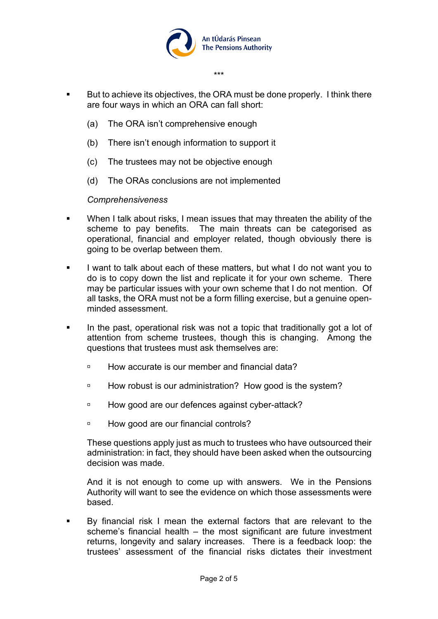

\*\*\*

- But to achieve its objectives, the ORA must be done properly. I think there are four ways in which an ORA can fall short:
	- (a) The ORA isn't comprehensive enough
	- (b) There isn't enough information to support it
	- (c) The trustees may not be objective enough
	- (d) The ORAs conclusions are not implemented

#### *Comprehensiveness*

- **When I talk about risks, I mean issues that may threaten the ability of the** scheme to pay benefits. The main threats can be categorised as operational, financial and employer related, though obviously there is going to be overlap between them.
- I want to talk about each of these matters, but what I do not want you to do is to copy down the list and replicate it for your own scheme. There may be particular issues with your own scheme that I do not mention. Of all tasks, the ORA must not be a form filling exercise, but a genuine openminded assessment.
- In the past, operational risk was not a topic that traditionally got a lot of attention from scheme trustees, though this is changing. Among the questions that trustees must ask themselves are:
	- □ How accurate is our member and financial data?
	- □ How robust is our administration? How good is the system?
	- □ How good are our defences against cyber-attack?
	- <sup>n</sup> How good are our financial controls?

These questions apply just as much to trustees who have outsourced their administration: in fact, they should have been asked when the outsourcing decision was made.

And it is not enough to come up with answers. We in the Pensions Authority will want to see the evidence on which those assessments were based.

 By financial risk I mean the external factors that are relevant to the scheme's financial health – the most significant are future investment returns, longevity and salary increases. There is a feedback loop: the trustees' assessment of the financial risks dictates their investment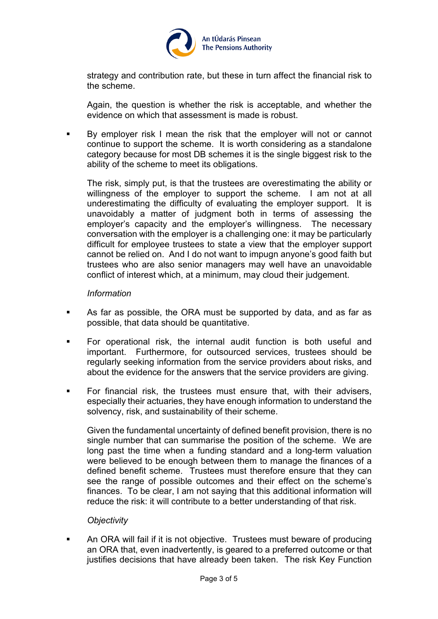

strategy and contribution rate, but these in turn affect the financial risk to the scheme.

Again, the question is whether the risk is acceptable, and whether the evidence on which that assessment is made is robust.

 By employer risk I mean the risk that the employer will not or cannot continue to support the scheme. It is worth considering as a standalone category because for most DB schemes it is the single biggest risk to the ability of the scheme to meet its obligations.

The risk, simply put, is that the trustees are overestimating the ability or willingness of the employer to support the scheme. I am not at all underestimating the difficulty of evaluating the employer support. It is unavoidably a matter of judgment both in terms of assessing the employer's capacity and the employer's willingness. The necessary conversation with the employer is a challenging one: it may be particularly difficult for employee trustees to state a view that the employer support cannot be relied on. And I do not want to impugn anyone's good faith but trustees who are also senior managers may well have an unavoidable conflict of interest which, at a minimum, may cloud their judgement.

#### *Information*

- As far as possible, the ORA must be supported by data, and as far as possible, that data should be quantitative.
- For operational risk, the internal audit function is both useful and important. Furthermore, for outsourced services, trustees should be regularly seeking information from the service providers about risks, and about the evidence for the answers that the service providers are giving.
- For financial risk, the trustees must ensure that, with their advisers, especially their actuaries, they have enough information to understand the solvency, risk, and sustainability of their scheme.

Given the fundamental uncertainty of defined benefit provision, there is no single number that can summarise the position of the scheme. We are long past the time when a funding standard and a long-term valuation were believed to be enough between them to manage the finances of a defined benefit scheme. Trustees must therefore ensure that they can see the range of possible outcomes and their effect on the scheme's finances. To be clear, I am not saying that this additional information will reduce the risk: it will contribute to a better understanding of that risk.

## *Objectivity*

**An ORA will fail if it is not objective. Trustees must beware of producing** an ORA that, even inadvertently, is geared to a preferred outcome or that justifies decisions that have already been taken. The risk Key Function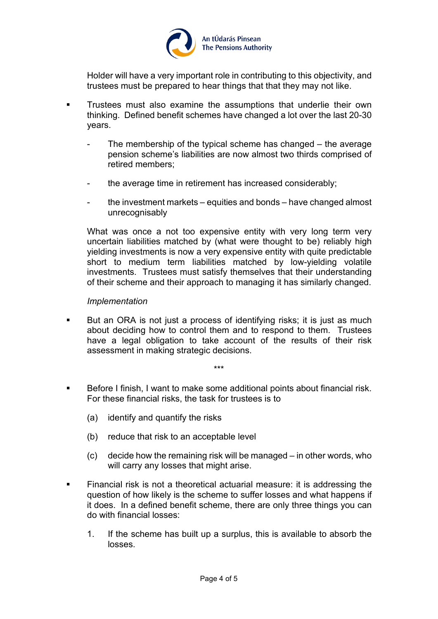

Holder will have a very important role in contributing to this objectivity, and trustees must be prepared to hear things that that they may not like.

- **Trustees must also examine the assumptions that underlie their own** thinking. Defined benefit schemes have changed a lot over the last 20-30 years.
	- The membership of the typical scheme has changed  $-$  the average pension scheme's liabilities are now almost two thirds comprised of retired members;
	- the average time in retirement has increased considerably;
	- the investment markets equities and bonds have changed almost unrecognisably

What was once a not too expensive entity with very long term very uncertain liabilities matched by (what were thought to be) reliably high yielding investments is now a very expensive entity with quite predictable short to medium term liabilities matched by low-yielding volatile investments. Trustees must satisfy themselves that their understanding of their scheme and their approach to managing it has similarly changed.

#### *Implementation*

 But an ORA is not just a process of identifying risks; it is just as much about deciding how to control them and to respond to them. Trustees have a legal obligation to take account of the results of their risk assessment in making strategic decisions.

\*\*\*

 Before I finish, I want to make some additional points about financial risk. For these financial risks, the task for trustees is to

- (a) identify and quantify the risks
- (b) reduce that risk to an acceptable level
- (c) decide how the remaining risk will be managed in other words, who will carry any losses that might arise.
- Financial risk is not a theoretical actuarial measure: it is addressing the question of how likely is the scheme to suffer losses and what happens if it does. In a defined benefit scheme, there are only three things you can do with financial losses:
	- 1. If the scheme has built up a surplus, this is available to absorb the losses.